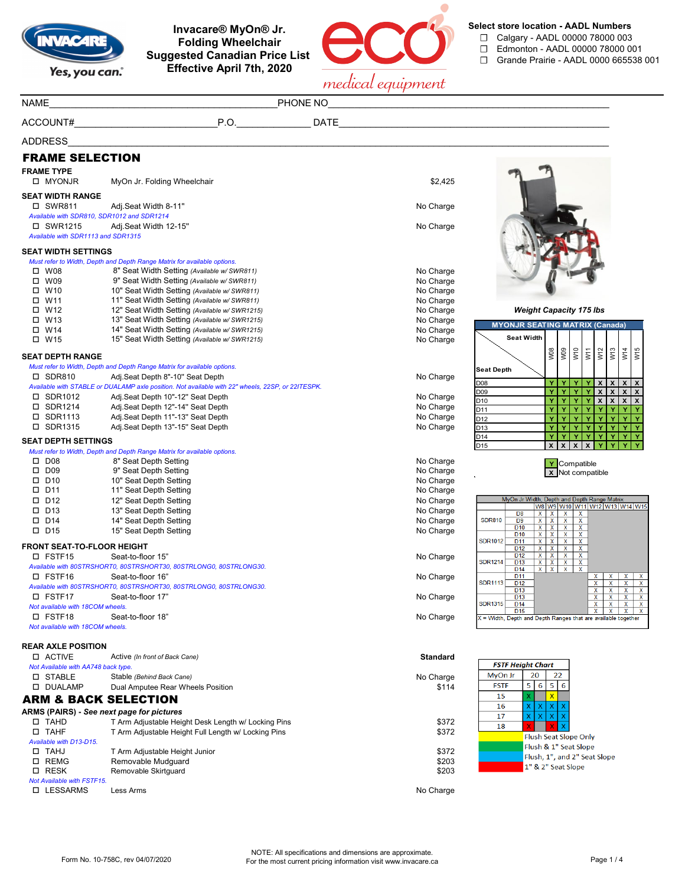

**Invacare® MyOn® Jr. Folding Wheelchair Suggested Canadian Price List Effective April 7th, 2020**



**Select store location - AADL Numbers**

- ☐ Calgary AADL 00000 78000 003
- ☐ Edmonton AADL 00000 78000 001
- ☐ Grande Prairie AADL 0000 665538 001

|                                       |                                                                                                   | medical equipment      |                                                                                                                                               |
|---------------------------------------|---------------------------------------------------------------------------------------------------|------------------------|-----------------------------------------------------------------------------------------------------------------------------------------------|
| <b>NAME</b>                           |                                                                                                   |                        |                                                                                                                                               |
|                                       |                                                                                                   |                        |                                                                                                                                               |
| <b>ADDRESS</b>                        |                                                                                                   |                        |                                                                                                                                               |
| <b>FRAME SELECTION</b>                |                                                                                                   |                        |                                                                                                                                               |
| <b>FRAME TYPE</b><br>□ MYONJR         | MyOn Jr. Folding Wheelchair                                                                       | \$2,425                |                                                                                                                                               |
| <b>SEAT WIDTH RANGE</b>               |                                                                                                   |                        |                                                                                                                                               |
| □ SWR811                              | Adj.Seat Width 8-11"<br>Available with SDR810, SDR1012 and SDR1214                                | No Charge              |                                                                                                                                               |
| □ SWR1215                             | Adj.Seat Width 12-15"                                                                             | No Charge              |                                                                                                                                               |
| Available with SDR1113 and SDR1315    |                                                                                                   |                        |                                                                                                                                               |
| <b>SEAT WIDTH SETTINGS</b>            |                                                                                                   |                        |                                                                                                                                               |
|                                       | Must refer to Width, Depth and Depth Range Matrix for available options.                          |                        |                                                                                                                                               |
| $\square$ W08                         | 8" Seat Width Setting (Available w/ SWR811)                                                       | No Charge              |                                                                                                                                               |
| $\square$ W09                         | 9" Seat Width Setting (Available w/SWR811)                                                        | No Charge              |                                                                                                                                               |
| $\square$ W10                         | 10" Seat Width Setting (Available w/ SWR811)                                                      | No Charge              |                                                                                                                                               |
| □ W11                                 | 11" Seat Width Setting (Available w/ SWR811)                                                      | No Charge              |                                                                                                                                               |
| □ W12<br>$\Box$ W13                   | 12" Seat Width Setting (Available w/SWR1215)<br>13" Seat Width Setting (Available w/SWR1215)      | No Charge              | <b>Weight Capacity 175 lbs</b>                                                                                                                |
| $\Box$ W14                            | 14" Seat Width Setting (Available w/SWR1215)                                                      | No Charge              | <b>MYONJR SEATING MATRIX (Canada)</b>                                                                                                         |
| □ W15                                 | 15" Seat Width Setting (Available w/SWR1215)                                                      | No Charge<br>No Charge | <b>Seat Width</b>                                                                                                                             |
|                                       |                                                                                                   |                        |                                                                                                                                               |
| <b>SEAT DEPTH RANGE</b>               |                                                                                                   |                        | W13<br><b>W08</b><br>$\begin{array}{c c}\n\hline\n\text{W0} & \text{W1} \\ \hline\n\text{W1} & \text{W2}\n\end{array}$<br>W15<br>W14          |
|                                       | Must refer to Width, Depth and Depth Range Matrix for available options.                          |                        | <b>Seat Depth</b>                                                                                                                             |
| □ SDR810                              | Adj.Seat Depth 8"-10" Seat Depth                                                                  | No Charge              | Y Y Y X X<br>D08<br>$\boldsymbol{\mathsf{x}}$<br>$\boldsymbol{\mathsf{x}}$                                                                    |
|                                       | Available with STABLE or DUALAMP axle position. Not available with 22" wheels, 22SP, or 22ITESPK. |                        | Y<br>Y.<br>Y<br>Y<br>$\pmb{\mathsf{x}}$<br>$\pmb{\mathsf{x}}$<br>$\pmb{\chi}$<br>D09<br>X                                                     |
| □ SDR1012                             | Adj.Seat Depth 10"-12" Seat Depth                                                                 | No Charge              | $Y$ $Y$<br>$Y$ $X$ $X$<br>$\pmb{\mathsf{x}}$<br>$\pmb{\times}$<br>D <sub>10</sub>                                                             |
| □ SDR1214                             | Adj.Seat Depth 12"-14" Seat Depth                                                                 | No Charge              | Y.<br>Y.<br>Y<br>Ÿ<br>Ÿ<br>Y<br>D11<br>Y                                                                                                      |
| □ SDR1113                             | Adj.Seat Depth 11"-13" Seat Depth                                                                 | No Charge              | Y<br>D12<br>Y<br>Y.<br>Y<br>Y<br>Y<br>Y<br>Y                                                                                                  |
| □ SDR1315                             | Adj.Seat Depth 13"-15" Seat Depth                                                                 | No Charge              | Y.<br>Y<br>Y<br>Y<br>D <sub>13</sub><br>Y<br>Y<br>D <sub>14</sub><br>Y<br>Y<br>Ÿ<br>Y                                                         |
| <b>SEAT DEPTH SETTINGS</b>            |                                                                                                   |                        | $\mathbf{x}$<br>D <sub>15</sub><br>$\mathbf{x}$<br>$\mathsf{x}$<br>X                                                                          |
| $\square$ D08                         | Must refer to Width, Depth and Depth Range Matrix for available options.                          |                        |                                                                                                                                               |
| $\square$ D09                         | 8" Seat Depth Setting<br>9" Seat Depth Setting                                                    | No Charge<br>No Charge | Y Compatible                                                                                                                                  |
| $\square$ D10                         | 10" Seat Depth Setting                                                                            | No Charge              | X Not compatible                                                                                                                              |
| $\square$ D11                         | 11" Seat Depth Setting                                                                            | No Charge              |                                                                                                                                               |
| $\square$ D12                         | 12" Seat Depth Setting                                                                            | No Charge              | MyOn Jr Width, Depth and Depth Range Matrix                                                                                                   |
| $\square$ D13                         | 13" Seat Depth Setting                                                                            | No Charge              | W8 W9 W10 W11 W12 W13 W14 W1<br>$\mathsf{X}^-$                                                                                                |
| $\square$ D14                         | 14" Seat Depth Setting                                                                            | No Charge              | D <sub>8</sub><br>$\mathbf{x}$<br>$\mathbf{x}$<br>$\boldsymbol{\mathsf{x}}$<br><b>SDR810</b><br>D <sub>9</sub><br>$\mathbf{x}$<br>x<br>X<br>x |
| $\square$ D15                         | 15" Seat Depth Setting                                                                            | No Charge              | $\overline{\mathbf{x}}$<br>$\overline{\mathbf{x}}$<br>D <sub>10</sub><br>x<br>X.<br>$\mathbf{x}$                                              |
|                                       |                                                                                                   |                        | D <sub>10</sub><br>x<br><b>SDR1012</b><br>D <sub>11</sub><br>x<br>х                                                                           |
| <b>FRONT SEAT-TO-FLOOR HEIGHT</b>     |                                                                                                   |                        | D <sub>12</sub><br>x<br>x<br>х<br>D <sub>12</sub><br>X<br><b>X</b><br>X<br>X                                                                  |
| □ FSTF15                              | Seat-to-floor 15"                                                                                 | No Charge              | <b>SDR1214</b><br>$\mathbf{x}$<br>$\mathbf{x}$<br>$\mathbf{x}$<br>D <sub>13</sub><br>$\mathbf{x}$                                             |
| <b>D</b> FSTF16                       | Available with 80STRSHORT0, 80STRSHORT30, 80STRLONG0, 80STRLONG30.                                |                        | $X$ $X$<br>$\mathbf{x}$<br>$\overline{\mathbf{x}}$<br>D <sub>14</sub><br>$X$ $X$ $X$<br>D <sub>11</sub><br>$\mathsf{x}$                       |
|                                       | Seat-to-floor 16"<br>Available with 80STRSHORT0, 80STRSHORT30, 80STRLONG0, 80STRLONG30.           | No Charge              | SDR1113<br>D <sub>12</sub><br>х                                                                                                               |
| □ FSTF17                              | Seat-to-floor 17"                                                                                 | No Charge              | X<br>$\mathbf{x}$<br>$\mathbf{x}$<br>D <sub>13</sub><br>X<br>D <sub>13</sub><br>X<br>X<br>X.<br>X                                             |
| Not available with 18COM wheels.      |                                                                                                   |                        | <b>SDR1315</b><br>D <sub>14</sub><br>$\overline{\mathbf{x}}$<br>х<br>X.<br>X                                                                  |
| □ FSTF18                              | Seat-to-floor 18"                                                                                 | No Charge              | $\overline{X}$<br>D <sub>15</sub><br>$\mathbf{x}$<br>$X \mid X$<br>X = Width, Depth and Depth Ranges that are available together              |
| Not available with 18COM wheels.      |                                                                                                   |                        |                                                                                                                                               |
|                                       |                                                                                                   |                        |                                                                                                                                               |
| <b>REAR AXLE POSITION</b><br>□ ACTIVE | Active (In front of Back Cane)                                                                    | <b>Standard</b>        |                                                                                                                                               |
| Not Available with AA748 back type.   |                                                                                                   |                        | <b>FSTF Height Chart</b>                                                                                                                      |
| □ STABLE                              | Stable (Behind Back Cane)                                                                         | No Charge              | 20<br>22<br>MyOn Jr                                                                                                                           |
| □ DUALAMP                             | Dual Amputee Rear Wheels Position                                                                 | \$114                  | 5<br>5 <sub>6</sub><br><b>FSTF</b><br>6                                                                                                       |
|                                       | <b>ARM &amp; BACK SELECTION</b>                                                                   |                        | 15<br>$\overline{\mathbf{x}}$                                                                                                                 |
|                                       | ARMS (PAIRS) - See next page for pictures                                                         |                        | 16<br>X<br>X<br>х<br>x<br>X<br>17<br>x<br>$\mathsf{X}$<br>$\mathsf{X}$                                                                        |
| □ ТАНD                                | T Arm Adjustable Height Desk Length w/ Locking Pins                                               | \$372                  | 18<br>X.                                                                                                                                      |
| <b>D</b> TAHF                         | T Arm Adjustable Height Full Length w/ Locking Pins                                               | \$372                  | <b>Flush Seat Slope Only</b>                                                                                                                  |
| Available with D13-D15.               |                                                                                                   |                        | Flush & 1" Seat Slope                                                                                                                         |
| LI TAHJ                               | T Arm Adjustable Height Junior                                                                    | \$372                  | Flush, 1", and 2" Seat Slope                                                                                                                  |
| □ REMG                                | Removable Mudguard                                                                                | \$203                  | 1" & 2" Seat Slope                                                                                                                            |
| □ RESK                                | Removable Skirtguard                                                                              | \$203                  |                                                                                                                                               |

*Not Available with FSTF15.*

LESSARMS Less Arms No Charge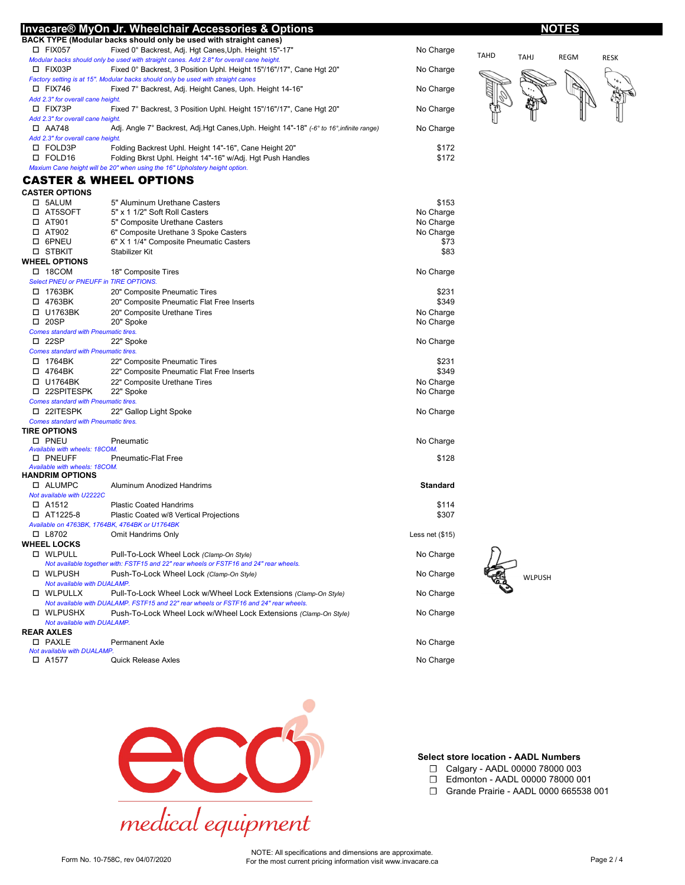|                                                  | Invacare® MyOn Jr. Wheelchair Accessories & Options                                      |                 |             |               | <u>NOTES</u> |             |
|--------------------------------------------------|------------------------------------------------------------------------------------------|-----------------|-------------|---------------|--------------|-------------|
|                                                  | BACK TYPE (Modular backs should only be used with straight canes)                        |                 |             |               |              |             |
| $\square$ FIX057                                 | Fixed 0° Backrest, Adj. Hgt Canes, Uph. Height 15"-17"                                   | No Charge       |             |               |              |             |
|                                                  | Modular backs should only be used with straight canes. Add 2.8" for overall cane height. |                 | <b>TAHD</b> | <b>TAHJ</b>   | <b>REGM</b>  | <b>RESK</b> |
| □ FIX03P                                         | Fixed 0° Backrest, 3 Position Uphl. Height 15"/16"/17", Cane Hgt 20"                     | No Charge       |             |               |              |             |
|                                                  | Factory setting is at 15". Modular backs should only be used with straight canes         |                 |             |               |              |             |
| $\square$ FIX746                                 | Fixed 7° Backrest, Adj. Height Canes, Uph. Height 14-16"                                 | No Charge       |             |               |              |             |
| Add 2.3" for overall cane height.                |                                                                                          |                 |             |               |              |             |
| □ FIX73P                                         | Fixed 7° Backrest, 3 Position Uphl. Height 15"/16"/17", Cane Hgt 20"                     | No Charge       |             |               |              |             |
| Add 2.3" for overall cane height.                |                                                                                          |                 |             |               |              |             |
| $\Box$ AA748                                     | Adj. Angle 7° Backrest, Adj.Hgt Canes, Uph. Height 14"-18" (-6° to 16°, infinite range)  | No Charge       |             |               |              |             |
| Add 2.3" for overall cane height.                |                                                                                          |                 |             |               |              |             |
| □ FOLD3P                                         | Folding Backrest Uphl. Height 14"-16", Cane Height 20"                                   | \$172           |             |               |              |             |
| □ FOLD16                                         | Folding Bkrst Uphl. Height 14"-16" w/Adj. Hgt Push Handles                               | \$172           |             |               |              |             |
|                                                  | Maxium Cane height will be 20" when using the 16" Upholstery height option.              |                 |             |               |              |             |
|                                                  | <b>CASTER &amp; WHEEL OPTIONS</b>                                                        |                 |             |               |              |             |
| <b>CASTER OPTIONS</b>                            |                                                                                          |                 |             |               |              |             |
| □ 5ALUM                                          | 5" Aluminum Urethane Casters                                                             | \$153           |             |               |              |             |
| □ AT5SOFT                                        | 5" x 1 1/2" Soft Roll Casters                                                            | No Charge       |             |               |              |             |
| $\square$ AT901                                  | 5" Composite Urethane Casters                                                            | No Charge       |             |               |              |             |
| $\square$ AT902                                  | 6" Composite Urethane 3 Spoke Casters                                                    | No Charge       |             |               |              |             |
| □ 6PNEU                                          | 6" X 1 1/4" Composite Pneumatic Casters                                                  | \$73            |             |               |              |             |
| □ STBKIT                                         | Stabilizer Kit                                                                           | \$83            |             |               |              |             |
| <b>WHEEL OPTIONS</b>                             |                                                                                          |                 |             |               |              |             |
|                                                  |                                                                                          |                 |             |               |              |             |
| $\Box$ 18COM                                     | 18" Composite Tires                                                                      | No Charge       |             |               |              |             |
| Select PNEU or PNEUFF in TIRE OPTIONS.           |                                                                                          |                 |             |               |              |             |
| □ 1763BK                                         | 20" Composite Pneumatic Tires                                                            | \$231           |             |               |              |             |
| □ 4763BK                                         | 20" Composite Pneumatic Flat Free Inserts                                                | \$349           |             |               |              |             |
| □ U1763BK                                        | 20" Composite Urethane Tires                                                             | No Charge       |             |               |              |             |
| $\square$ 20SP                                   | 20" Spoke                                                                                | No Charge       |             |               |              |             |
| <b>Comes standard with Pneumatic tires.</b>      |                                                                                          |                 |             |               |              |             |
| $\square$ 22SP                                   | 22" Spoke                                                                                | No Charge       |             |               |              |             |
| <b>Comes standard with Pneumatic tires.</b>      |                                                                                          |                 |             |               |              |             |
| □ 1764BK                                         | 22" Composite Pneumatic Tires                                                            | \$231           |             |               |              |             |
| □ 4764BK                                         | 22" Composite Pneumatic Flat Free Inserts                                                | \$349           |             |               |              |             |
| $\Box$ U1764BK                                   | 22" Composite Urethane Tires                                                             | No Charge       |             |               |              |             |
| □ 22SPITESPK                                     | 22" Spoke                                                                                | No Charge       |             |               |              |             |
| <b>Comes standard with Pneumatic tires.</b>      |                                                                                          |                 |             |               |              |             |
| □ 22ITESPK                                       | 22" Gallop Light Spoke                                                                   | No Charge       |             |               |              |             |
| <b>Comes standard with Pneumatic tires.</b>      |                                                                                          |                 |             |               |              |             |
| <b>TIRE OPTIONS</b>                              |                                                                                          |                 |             |               |              |             |
| <b>O</b> PNEU                                    | Pneumatic                                                                                | No Charge       |             |               |              |             |
| Available with wheels: 18COM.                    |                                                                                          |                 |             |               |              |             |
| <b>O PNEUFF</b><br>Available with wheels: 18COM. | Pneumatic-Flat Free                                                                      | \$128           |             |               |              |             |
| <b>HANDRIM OPTIONS</b>                           |                                                                                          |                 |             |               |              |             |
| □ ALUMPC                                         | Aluminum Anodized Handrims                                                               | <b>Standard</b> |             |               |              |             |
| Not available with U2222C                        |                                                                                          |                 |             |               |              |             |
| □ A1512                                          | <b>Plastic Coated Handrims</b>                                                           | \$114           |             |               |              |             |
| $\Box$ AT1225-8                                  | Plastic Coated w/8 Vertical Projections                                                  | \$307           |             |               |              |             |
|                                                  | Available on 4763BK, 1764BK, 4764BK or U1764BK                                           |                 |             |               |              |             |
| □ L8702                                          | Omit Handrims Only                                                                       | Less net (\$15) |             |               |              |             |
| <b>WHEEL LOCKS</b>                               |                                                                                          |                 |             |               |              |             |
| □ WLPULL                                         | Pull-To-Lock Wheel Lock (Clamp-On Style)                                                 | No Charge       |             |               |              |             |
|                                                  | Not available together with: FSTF15 and 22" rear wheels or FSTF16 and 24" rear wheels.   |                 |             |               |              |             |
| □ WLPUSH                                         | Push-To-Lock Wheel Lock (Clamp-On Style)                                                 | No Charge       |             |               |              |             |
| Not available with DUALAMP.                      |                                                                                          |                 |             | <b>WLPUSH</b> |              |             |
| □ WLPULLX                                        | Pull-To-Lock Wheel Lock w/Wheel Lock Extensions (Clamp-On Style)                         | No Charge       |             |               |              |             |
|                                                  | Not available with DUALAMP. FSTF15 and 22" rear wheels or FSTF16 and 24" rear wheels.    |                 |             |               |              |             |
| □ WLPUSHX                                        | Push-To-Lock Wheel Lock w/Wheel Lock Extensions (Clamp-On Style)                         | No Charge       |             |               |              |             |
| Not available with DUALAMP.                      |                                                                                          |                 |             |               |              |             |
| <b>REAR AXLES</b>                                |                                                                                          |                 |             |               |              |             |
| <b>D PAXLE</b>                                   | <b>Permanent Axle</b>                                                                    | No Charge       |             |               |              |             |
| Not available with DUALAMP.                      |                                                                                          |                 |             |               |              |             |
| □ A1577                                          | <b>Quick Release Axles</b>                                                               | No Charge       |             |               |              |             |
|                                                  |                                                                                          |                 |             |               |              |             |



### **Select store location - AADL Numbers**

- ☐ Calgary AADL 00000 78000 003
- ☐ Edmonton AADL 00000 78000 001
- ☐ Grande Prairie AADL 0000 665538 001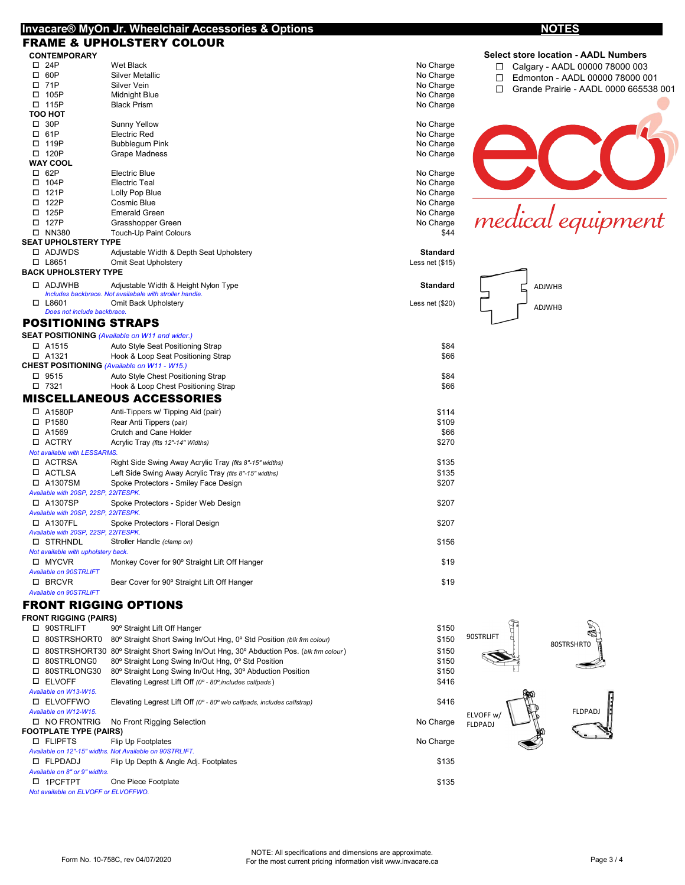### **Invacare® MyOn Jr. Wheelchair Accessories & Options**

# FRAME & UPHOLSTERY COLOUR **CONTEMPORARY**<br>  $\Box$  24P

|                            | RAME & UPHOLSTERY COLOUR                                                                         |                  |                                             |
|----------------------------|--------------------------------------------------------------------------------------------------|------------------|---------------------------------------------|
| CONTEMPORARY               |                                                                                                  |                  | <b>Select store location - AADL Numbers</b> |
| $\square$ 24P              | Wet Black                                                                                        | No Charge        | Calgary - AADL 00000 78000 003              |
| $\square$ 60P              | <b>Silver Metallic</b>                                                                           | No Charge        | Edmonton - AADL 00000 78000 001             |
| $\square$ 71P              | Silver Vein                                                                                      | No Charge        | Grande Prairie - AADL 0000 665538 001       |
| □ 105P                     | Midnight Blue                                                                                    | No Charge        |                                             |
| $\Box$ 115P                | <b>Black Prism</b>                                                                               | No Charge        |                                             |
| тоо нот                    |                                                                                                  |                  |                                             |
| $\Box$ 30P                 | <b>Sunny Yellow</b>                                                                              | No Charge        |                                             |
| $\square$ 61P              | <b>Electric Red</b>                                                                              | No Charge        |                                             |
| □ 119P                     | <b>Bubblegum Pink</b>                                                                            | No Charge        |                                             |
| $\square$ 120P             | Grape Madness                                                                                    | No Charge        |                                             |
| WAY COOL                   |                                                                                                  |                  |                                             |
| $\square$ 62P              | Electric Blue                                                                                    | No Charge        |                                             |
| □ 104P                     | <b>Electric Teal</b>                                                                             | No Charge        |                                             |
| $\square$ 121P             | Lolly Pop Blue                                                                                   | No Charge        |                                             |
| □ 122P                     | Cosmic Blue                                                                                      | No Charge        |                                             |
| $\square$ 125P             | <b>Emerald Green</b>                                                                             | No Charge        |                                             |
| □ 127P                     | Grasshopper Green                                                                                | No Charge        | medical equipment                           |
| $\square$ NN380            | Touch-Up Paint Colours                                                                           | \$44             |                                             |
| EAT UPHOLSTERY TYPE        |                                                                                                  |                  |                                             |
| □ ADJWDS                   | Adjustable Width & Depth Seat Upholstery                                                         | Standard         |                                             |
| $\square$ L8651            | Omit Seat Upholstery                                                                             | Less net $($15)$ |                                             |
| <b>\CK UPHOLSTERY TYPE</b> |                                                                                                  |                  |                                             |
| □ ADJWHB                   | Adjustable Width & Height Nylon Type<br>Includes backbrace. Not availabale with stroller handle. | <b>Standard</b>  | ADJWHB                                      |

ADJWHB

|  | POSITIONING STRAPS |
|--|--------------------|

*Does not include backbrace.*

**SEAT UPHOLSTERY TYPE**<br>  $\Box$  ADJWDS Adj

**BACK UPHOLSTERY TYPE**<br>  $\Box$  ADJWHB Adju

**TOO HOT**

**WAY COOL**<br>□ 62P

| \$84<br>$\Box$ A1515<br>Auto Style Seat Positioning Strap<br>□ A1321<br>\$66<br>Hook & Loop Seat Positioning Strap<br>CHEST POSITIONING (Available on W11 - W15.)<br>□ 9515<br>\$84<br>Auto Style Chest Positioning Strap<br>$\Box$ 7321<br>\$66<br>Hook & Loop Chest Positioning Strap<br><b>MISCELLANEOUS ACCESSORIES</b><br>□ A1580P<br>\$114<br>Anti-Tippers w/ Tipping Aid (pair)<br>\$109<br>P1580<br>Rear Anti Tippers (pair)<br>□<br>\$66<br>A1569<br>Crutch and Cane Holder<br>п.<br><b>ACTRY</b><br>\$270<br>Acrylic Tray (fits 12"-14" Widths)<br>П.<br>Not available with LESSARMS.<br><b>D</b> ACTRSA<br>\$135<br>Right Side Swing Away Acrylic Tray (fits 8"-15" widths)<br>ACTLSA<br>\$135<br>□<br>Left Side Swing Away Acrylic Tray (fits 8"-15" widths)<br>A1307SM<br>\$207<br>п<br>Spoke Protectors - Smiley Face Design<br>Available with 20SP. 22SP. 22ITESPK.<br>□ A1307SP<br>\$207<br>Spoke Protectors - Spider Web Design<br>Available with 20SP. 22SP. 22ITESPK.<br>□ A1307FL<br>\$207<br>Spoke Protectors - Floral Design<br>Available with 20SP, 22SP, 22ITESPK.<br><b>D STRHNDL</b><br>\$156<br>Stroller Handle (clamp on)<br>Not available with upholstery back.<br><b>MYCVR</b><br>\$19<br>Monkey Cover for 90° Straight Lift Off Hanger<br><b>Available on 90STRLIFT</b><br>□ BRCVR<br>\$19<br>Bear Cover for 90° Straight Lift Off Hanger<br><b>Available on 90STRLIFT</b> |  | <b>SEAT POSITIONING (Available on W11 and wider.)</b> |  |
|-----------------------------------------------------------------------------------------------------------------------------------------------------------------------------------------------------------------------------------------------------------------------------------------------------------------------------------------------------------------------------------------------------------------------------------------------------------------------------------------------------------------------------------------------------------------------------------------------------------------------------------------------------------------------------------------------------------------------------------------------------------------------------------------------------------------------------------------------------------------------------------------------------------------------------------------------------------------------------------------------------------------------------------------------------------------------------------------------------------------------------------------------------------------------------------------------------------------------------------------------------------------------------------------------------------------------------------------------------------------------------------------------------------|--|-------------------------------------------------------|--|
|                                                                                                                                                                                                                                                                                                                                                                                                                                                                                                                                                                                                                                                                                                                                                                                                                                                                                                                                                                                                                                                                                                                                                                                                                                                                                                                                                                                                           |  |                                                       |  |
|                                                                                                                                                                                                                                                                                                                                                                                                                                                                                                                                                                                                                                                                                                                                                                                                                                                                                                                                                                                                                                                                                                                                                                                                                                                                                                                                                                                                           |  |                                                       |  |
|                                                                                                                                                                                                                                                                                                                                                                                                                                                                                                                                                                                                                                                                                                                                                                                                                                                                                                                                                                                                                                                                                                                                                                                                                                                                                                                                                                                                           |  |                                                       |  |
|                                                                                                                                                                                                                                                                                                                                                                                                                                                                                                                                                                                                                                                                                                                                                                                                                                                                                                                                                                                                                                                                                                                                                                                                                                                                                                                                                                                                           |  |                                                       |  |
|                                                                                                                                                                                                                                                                                                                                                                                                                                                                                                                                                                                                                                                                                                                                                                                                                                                                                                                                                                                                                                                                                                                                                                                                                                                                                                                                                                                                           |  |                                                       |  |
|                                                                                                                                                                                                                                                                                                                                                                                                                                                                                                                                                                                                                                                                                                                                                                                                                                                                                                                                                                                                                                                                                                                                                                                                                                                                                                                                                                                                           |  |                                                       |  |
|                                                                                                                                                                                                                                                                                                                                                                                                                                                                                                                                                                                                                                                                                                                                                                                                                                                                                                                                                                                                                                                                                                                                                                                                                                                                                                                                                                                                           |  |                                                       |  |
|                                                                                                                                                                                                                                                                                                                                                                                                                                                                                                                                                                                                                                                                                                                                                                                                                                                                                                                                                                                                                                                                                                                                                                                                                                                                                                                                                                                                           |  |                                                       |  |
|                                                                                                                                                                                                                                                                                                                                                                                                                                                                                                                                                                                                                                                                                                                                                                                                                                                                                                                                                                                                                                                                                                                                                                                                                                                                                                                                                                                                           |  |                                                       |  |
|                                                                                                                                                                                                                                                                                                                                                                                                                                                                                                                                                                                                                                                                                                                                                                                                                                                                                                                                                                                                                                                                                                                                                                                                                                                                                                                                                                                                           |  |                                                       |  |
|                                                                                                                                                                                                                                                                                                                                                                                                                                                                                                                                                                                                                                                                                                                                                                                                                                                                                                                                                                                                                                                                                                                                                                                                                                                                                                                                                                                                           |  |                                                       |  |
|                                                                                                                                                                                                                                                                                                                                                                                                                                                                                                                                                                                                                                                                                                                                                                                                                                                                                                                                                                                                                                                                                                                                                                                                                                                                                                                                                                                                           |  |                                                       |  |
|                                                                                                                                                                                                                                                                                                                                                                                                                                                                                                                                                                                                                                                                                                                                                                                                                                                                                                                                                                                                                                                                                                                                                                                                                                                                                                                                                                                                           |  |                                                       |  |
|                                                                                                                                                                                                                                                                                                                                                                                                                                                                                                                                                                                                                                                                                                                                                                                                                                                                                                                                                                                                                                                                                                                                                                                                                                                                                                                                                                                                           |  |                                                       |  |
|                                                                                                                                                                                                                                                                                                                                                                                                                                                                                                                                                                                                                                                                                                                                                                                                                                                                                                                                                                                                                                                                                                                                                                                                                                                                                                                                                                                                           |  |                                                       |  |
|                                                                                                                                                                                                                                                                                                                                                                                                                                                                                                                                                                                                                                                                                                                                                                                                                                                                                                                                                                                                                                                                                                                                                                                                                                                                                                                                                                                                           |  |                                                       |  |
|                                                                                                                                                                                                                                                                                                                                                                                                                                                                                                                                                                                                                                                                                                                                                                                                                                                                                                                                                                                                                                                                                                                                                                                                                                                                                                                                                                                                           |  |                                                       |  |
|                                                                                                                                                                                                                                                                                                                                                                                                                                                                                                                                                                                                                                                                                                                                                                                                                                                                                                                                                                                                                                                                                                                                                                                                                                                                                                                                                                                                           |  |                                                       |  |
|                                                                                                                                                                                                                                                                                                                                                                                                                                                                                                                                                                                                                                                                                                                                                                                                                                                                                                                                                                                                                                                                                                                                                                                                                                                                                                                                                                                                           |  |                                                       |  |
|                                                                                                                                                                                                                                                                                                                                                                                                                                                                                                                                                                                                                                                                                                                                                                                                                                                                                                                                                                                                                                                                                                                                                                                                                                                                                                                                                                                                           |  |                                                       |  |
|                                                                                                                                                                                                                                                                                                                                                                                                                                                                                                                                                                                                                                                                                                                                                                                                                                                                                                                                                                                                                                                                                                                                                                                                                                                                                                                                                                                                           |  |                                                       |  |
|                                                                                                                                                                                                                                                                                                                                                                                                                                                                                                                                                                                                                                                                                                                                                                                                                                                                                                                                                                                                                                                                                                                                                                                                                                                                                                                                                                                                           |  |                                                       |  |
|                                                                                                                                                                                                                                                                                                                                                                                                                                                                                                                                                                                                                                                                                                                                                                                                                                                                                                                                                                                                                                                                                                                                                                                                                                                                                                                                                                                                           |  |                                                       |  |
|                                                                                                                                                                                                                                                                                                                                                                                                                                                                                                                                                                                                                                                                                                                                                                                                                                                                                                                                                                                                                                                                                                                                                                                                                                                                                                                                                                                                           |  |                                                       |  |
|                                                                                                                                                                                                                                                                                                                                                                                                                                                                                                                                                                                                                                                                                                                                                                                                                                                                                                                                                                                                                                                                                                                                                                                                                                                                                                                                                                                                           |  |                                                       |  |

*Includes backbrace. Not availabale with stroller handle.*<br>□ L8601 Omit Back Upholstery developed and the strong part of the strong part (\$20)

## FRONT RIGGING OPTIONS

| 90STRLIFT                            | 90° Straight Lift Off Hanger                                                          | \$150     |                 |
|--------------------------------------|---------------------------------------------------------------------------------------|-----------|-----------------|
| 80STRSHORT0<br>◻                     | 80° Straight Short Swing In/Out Hng, 0° Std Position (blk frm colour)                 | \$150     | 90STRLIFT       |
| ◻                                    | 80STRSHORT30 80° Straight Short Swing In/Out Hng, 30° Abduction Pos. (blk frm colour) | \$150     |                 |
| 80STRLONG0<br>□                      | 80° Straight Long Swing In/Out Hng, 0° Std Position                                   | \$150     | S               |
| 80STRLONG30<br>п.                    | 80° Straight Long Swing In/Out Hng, 30° Abduction Position                            | \$150     |                 |
| <b>ELVOFF</b><br>□                   | Elevating Legrest Lift Off (0° - 80°, includes calfpads)                              | \$416     |                 |
| Available on W13-W15.                |                                                                                       |           |                 |
| ELVOFFWO<br>п.                       | Elevating Legrest Lift Off (0° - 80° w/o calfpads, includes calfstrap)                | \$416     |                 |
| Available on W12-W15.                |                                                                                       |           | <b>ELVOFF w</b> |
| <b>D NO FRONTRIG</b>                 | No Front Rigging Selection                                                            | No Charge | <b>FLDPADJ</b>  |
| <b>FOOTPLATE TYPE (PAIRS)</b>        |                                                                                       |           |                 |
| <b>D</b> FLIPFTS                     | Flip Up Footplates                                                                    | No Charge |                 |
|                                      | Available on 12"-15" widths. Not Available on 90STRLIFT.                              |           |                 |
| □ FLPDADJ                            | Flip Up Depth & Angle Adj. Footplates                                                 | \$135     |                 |
| Available on 8" or 9" widths.        |                                                                                       |           |                 |
| 1PCFTPT<br>п.                        | One Piece Footplate                                                                   | \$135     |                 |
| Not available on ELVOFF or ELVOFFWO. |                                                                                       |           |                 |

80STRSHRT0

FLDPADJ

呍